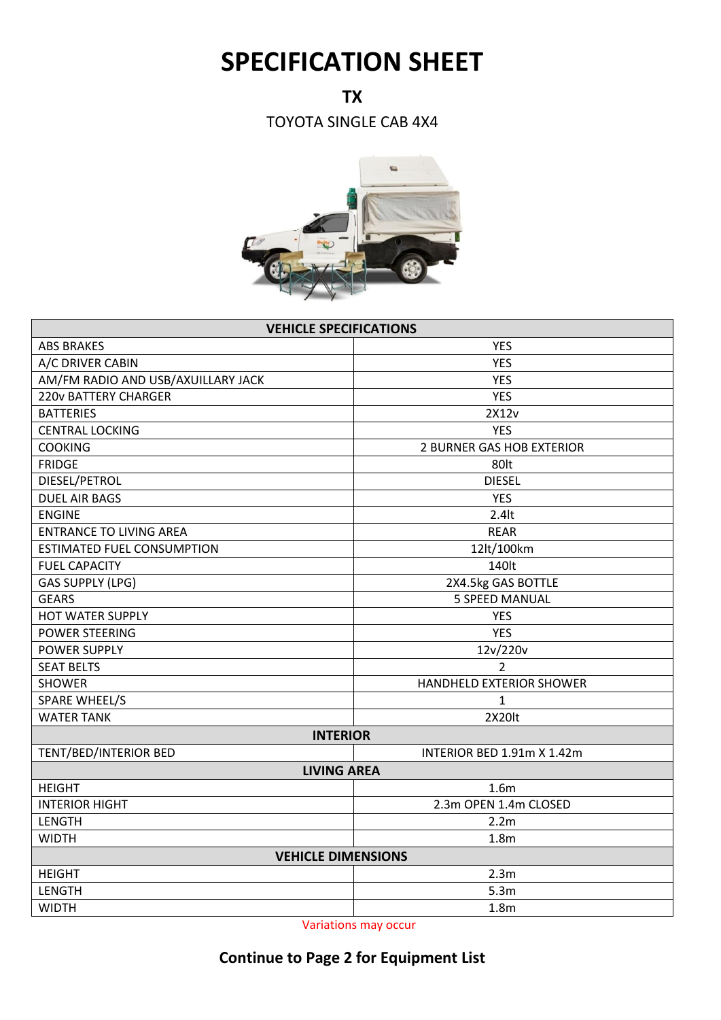## **SPECIFICATION SHEET**

**TX**

TOYOTA SINGLE CAB 4X4



| <b>VEHICLE SPECIFICATIONS</b>      |                                  |  |
|------------------------------------|----------------------------------|--|
| <b>ABS BRAKES</b>                  | <b>YES</b>                       |  |
| A/C DRIVER CABIN                   | <b>YES</b>                       |  |
| AM/FM RADIO AND USB/AXUILLARY JACK | <b>YES</b>                       |  |
| <b>220v BATTERY CHARGER</b>        | <b>YES</b>                       |  |
| <b>BATTERIES</b>                   | 2X12v                            |  |
| <b>CENTRAL LOCKING</b>             | <b>YES</b>                       |  |
| <b>COOKING</b>                     | <b>2 BURNER GAS HOB EXTERIOR</b> |  |
| <b>FRIDGE</b>                      | 80lt                             |  |
| DIESEL/PETROL                      | <b>DIESEL</b>                    |  |
| <b>DUEL AIR BAGS</b>               | <b>YES</b>                       |  |
| <b>ENGINE</b>                      | $2.4$ lt                         |  |
| <b>ENTRANCE TO LIVING AREA</b>     | <b>REAR</b>                      |  |
| <b>ESTIMATED FUEL CONSUMPTION</b>  | 12lt/100km                       |  |
| <b>FUEL CAPACITY</b>               | 140lt                            |  |
| <b>GAS SUPPLY (LPG)</b>            | 2X4.5kg GAS BOTTLE               |  |
| <b>GEARS</b>                       | <b>5 SPEED MANUAL</b>            |  |
| <b>HOT WATER SUPPLY</b>            | <b>YES</b>                       |  |
| <b>POWER STEERING</b>              | <b>YES</b>                       |  |
| POWER SUPPLY                       | 12v/220v                         |  |
| <b>SEAT BELTS</b>                  | $\overline{2}$                   |  |
| <b>SHOWER</b>                      | HANDHELD EXTERIOR SHOWER         |  |
| <b>SPARE WHEEL/S</b>               | $\mathbf{1}$                     |  |
| <b>WATER TANK</b>                  | 2X20lt                           |  |
| <b>INTERIOR</b>                    |                                  |  |
| TENT/BED/INTERIOR BED              | INTERIOR BED 1.91m X 1.42m       |  |
| <b>LIVING AREA</b>                 |                                  |  |
| <b>HEIGHT</b>                      | 1.6 <sub>m</sub>                 |  |
| <b>INTERIOR HIGHT</b>              | 2.3m OPEN 1.4m CLOSED            |  |
| <b>LENGTH</b>                      | 2.2m                             |  |
| <b>WIDTH</b>                       | 1.8 <sub>m</sub>                 |  |
| <b>VEHICLE DIMENSIONS</b>          |                                  |  |
| <b>HEIGHT</b>                      | 2.3m                             |  |
| <b>LENGTH</b>                      | 5.3m                             |  |
| <b>WIDTH</b>                       | 1.8 <sub>m</sub>                 |  |

Variations may occur